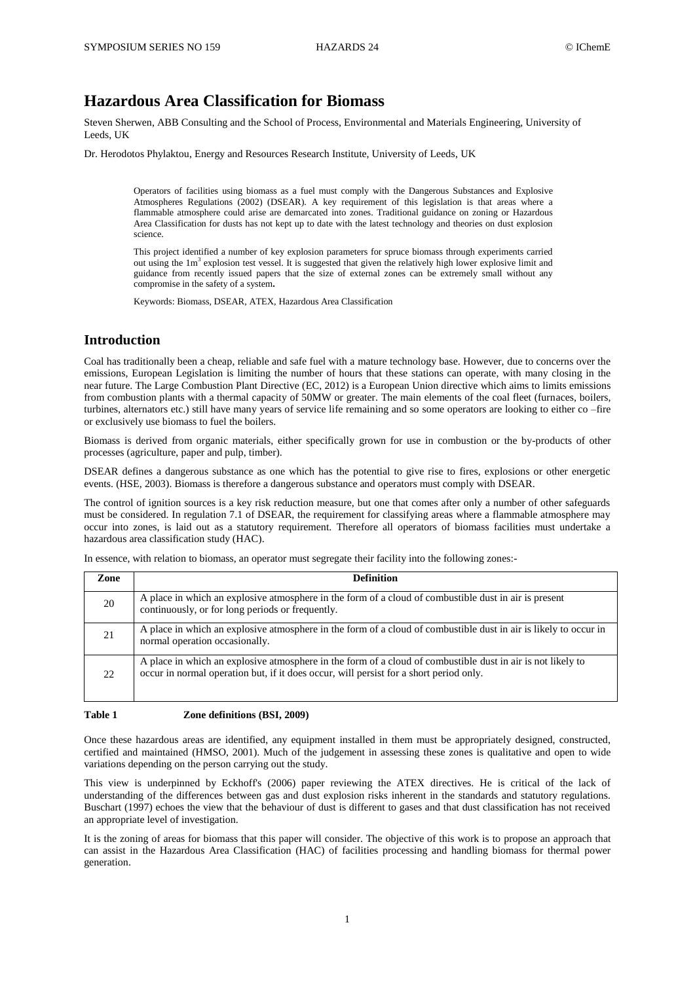# **Hazardous Area Classification for Biomass**

Steven Sherwen, ABB Consulting and the School of Process, Environmental and Materials Engineering, University of Leeds, UK

Dr. Herodotos Phylaktou, Energy and Resources Research Institute, University of Leeds, UK

Operators of facilities using biomass as a fuel must comply with the Dangerous Substances and Explosive Atmospheres Regulations (2002) (DSEAR). A key requirement of this legislation is that areas where a flammable atmosphere could arise are demarcated into zones. Traditional guidance on zoning or Hazardous Area Classification for dusts has not kept up to date with the latest technology and theories on dust explosion science.

This project identified a number of key explosion parameters for spruce biomass through experiments carried out using the  $1m<sup>3</sup>$  explosion test vessel. It is suggested that given the relatively high lower explosive limit and guidance from recently issued papers that the size of external zones can be extremely small without any compromise in the safety of a system**.**

Keywords: Biomass, DSEAR, ATEX, Hazardous Area Classification

# **Introduction**

Coal has traditionally been a cheap, reliable and safe fuel with a mature technology base. However, due to concerns over the emissions, European Legislation is limiting the number of hours that these stations can operate, with many closing in the near future. The Large Combustion Plant Directive (EC, 2012) is a [European Union directive](http://en.wikipedia.org/wiki/Directive_(European_Union)) which aims to limits emissions from combustion plants with a thermal capacity of 50MW or greater. The main elements of the coal fleet (furnaces, boilers, turbines, alternators etc.) still have many years of service life remaining and so some operators are looking to either co –fire or exclusively use biomass to fuel the boilers.

Biomass is derived from organic materials, either specifically grown for use in combustion or the by-products of other processes (agriculture, paper and pulp, timber).

DSEAR defines a dangerous substance as one which has the potential to give rise to fires, explosions or other energetic events. (HSE, 2003). Biomass is therefore a dangerous substance and operators must comply with DSEAR.

The control of ignition sources is a key risk reduction measure, but one that comes after only a number of other safeguards must be considered. In regulation 7.1 of DSEAR, the requirement for classifying areas where a flammable atmosphere may occur into zones, is laid out as a statutory requirement. Therefore all operators of biomass facilities must undertake a hazardous area classification study (HAC).

In essence, with relation to biomass, an operator must segregate their facility into the following zones:-

| Zone | <b>Definition</b>                                                                                                                                                                                     |
|------|-------------------------------------------------------------------------------------------------------------------------------------------------------------------------------------------------------|
| 20   | A place in which an explosive atmosphere in the form of a cloud of combustible dust in air is present<br>continuously, or for long periods or frequently.                                             |
| 21   | A place in which an explosive atmosphere in the form of a cloud of combustible dust in air is likely to occur in<br>normal operation occasionally.                                                    |
| 22   | A place in which an explosive atmosphere in the form of a cloud of combustible dust in air is not likely to<br>occur in normal operation but, if it does occur, will persist for a short period only. |

#### **Table 1 Zone definitions (BSI, 2009)**

Once these hazardous areas are identified, any equipment installed in them must be appropriately designed, constructed, certified and maintained (HMSO, 2001). Much of the judgement in assessing these zones is qualitative and open to wide variations depending on the person carrying out the study.

This view is underpinned by Eckhoff's (2006) paper reviewing the ATEX directives. He is critical of the lack of understanding of the differences between gas and dust explosion risks inherent in the standards and statutory regulations. Buschart (1997) echoes the view that the behaviour of dust is different to gases and that dust classification has not received an appropriate level of investigation.

It is the zoning of areas for biomass that this paper will consider. The objective of this work is to propose an approach that can assist in the Hazardous Area Classification (HAC) of facilities processing and handling biomass for thermal power generation.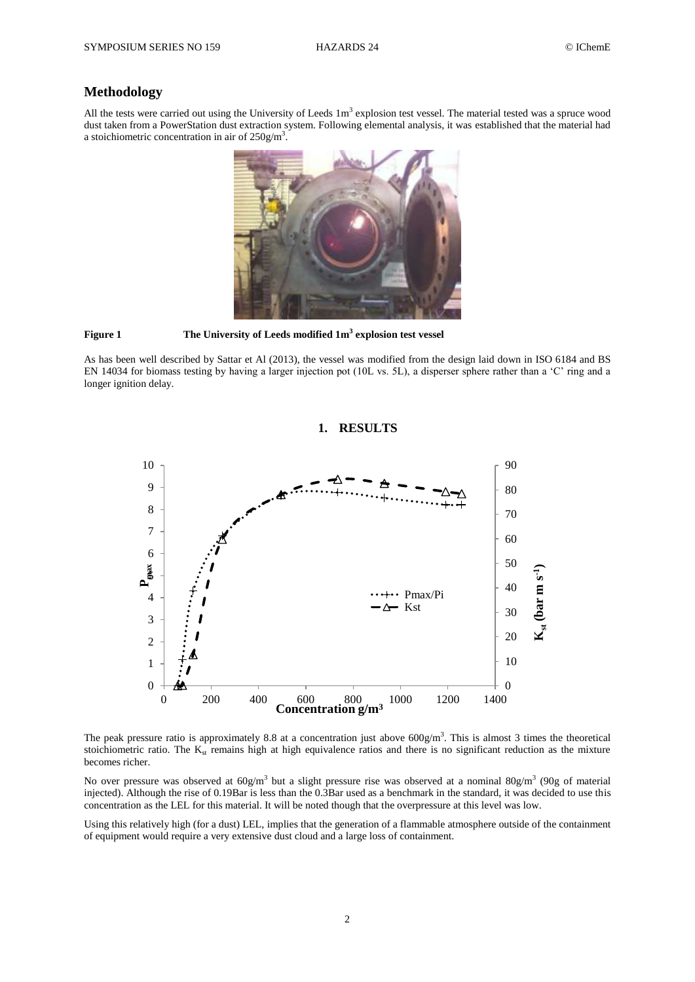### **Methodology**

All the tests were carried out using the University of Leeds  $1m<sup>3</sup>$  explosion test vessel. The material tested was a spruce wood dust taken from a PowerStation dust extraction system. Following elemental analysis, it was established that the material had a stoichiometric concentration in air of  $250g/m<sup>3</sup>$ .



**Figure 1 The University of Leeds modified 1m<sup>3</sup> explosion test vessel**

As has been well described by Sattar et Al (2013), the vessel was modified from the design laid down in ISO 6184 and BS EN 14034 for biomass testing by having a larger injection pot (10L vs. 5L), a disperser sphere rather than a 'C' ring and a longer ignition delay.

### **1. RESULTS**



The peak pressure ratio is approximately 8.8 at a concentration just above  $600 \text{g/m}^3$ . This is almost 3 times the theoretical stoichiometric ratio. The  $K_{st}$  remains high at high equivalence ratios and there is no significant reduction as the mixture becomes richer.

No over pressure was observed at  $60g/m^3$  but a slight pressure rise was observed at a nominal  $80g/m^3$  (90g of material injected). Although the rise of 0.19Bar is less than the 0.3Bar used as a benchmark in the standard, it was decided to use this concentration as the LEL for this material. It will be noted though that the overpressure at this level was low.

Using this relatively high (for a dust) LEL, implies that the generation of a flammable atmosphere outside of the containment of equipment would require a very extensive dust cloud and a large loss of containment.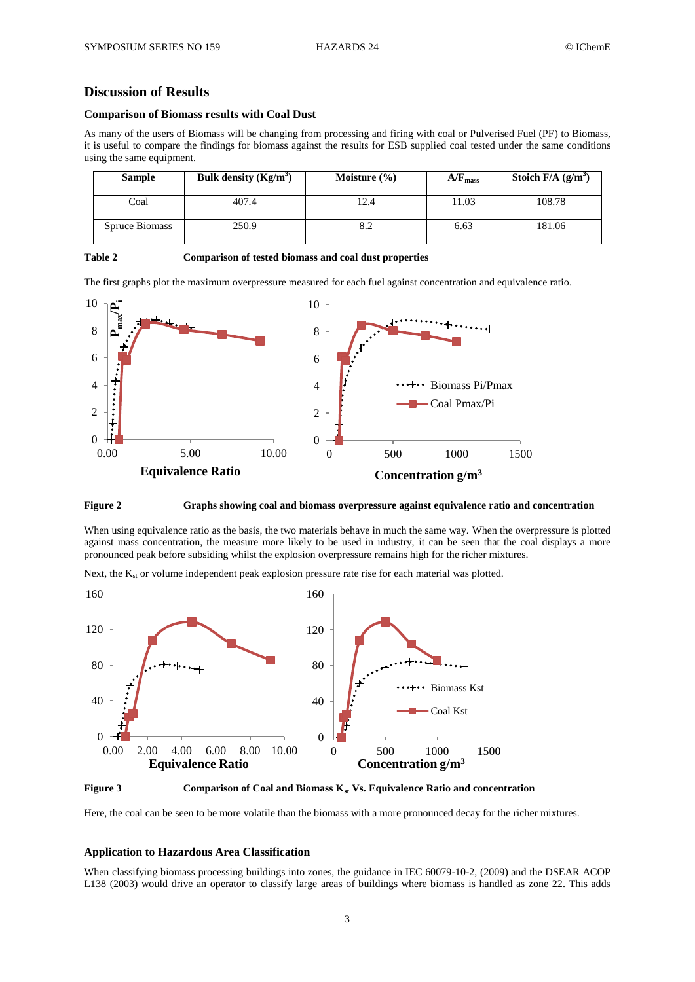# **Discussion of Results**

#### **Comparison of Biomass results with Coal Dust**

As many of the users of Biomass will be changing from processing and firing with coal or Pulverised Fuel (PF) to Biomass, it is useful to compare the findings for biomass against the results for ESB supplied coal tested under the same conditions using the same equipment.

| <b>Sample</b>  | Bulk density $(Kg/m^3)$ | Moisture $(\% )$ | $A/F_{mass}$ | Stoich $F/A$ (g/m <sup>3</sup> ) |
|----------------|-------------------------|------------------|--------------|----------------------------------|
| Coal           | 407.4                   | 12.4             | 11.03        | 108.78                           |
| Spruce Biomass | 250.9                   | 8.2              | 6.63         | 181.06                           |

| <b>Table 2</b> | Comparison of tested biomass and coal dust properties |  |
|----------------|-------------------------------------------------------|--|
|                |                                                       |  |

The first graphs plot the maximum overpressure measured for each fuel against concentration and equivalence ratio.





When using equivalence ratio as the basis, the two materials behave in much the same way. When the overpressure is plotted against mass concentration, the measure more likely to be used in industry, it can be seen that the coal displays a more pronounced peak before subsiding whilst the explosion overpressure remains high for the richer mixtures.

Next, the  $K_{st}$  or volume independent peak explosion pressure rate rise for each material was plotted.



**Figure 3 Comparison of Coal and Biomass Kst Vs. Equivalence Ratio and concentration**

Here, the coal can be seen to be more volatile than the biomass with a more pronounced decay for the richer mixtures.

### **Application to Hazardous Area Classification**

When classifying biomass processing buildings into zones, the guidance in IEC 60079-10-2, (2009) and the DSEAR ACOP L138 (2003) would drive an operator to classify large areas of buildings where biomass is handled as zone 22. This adds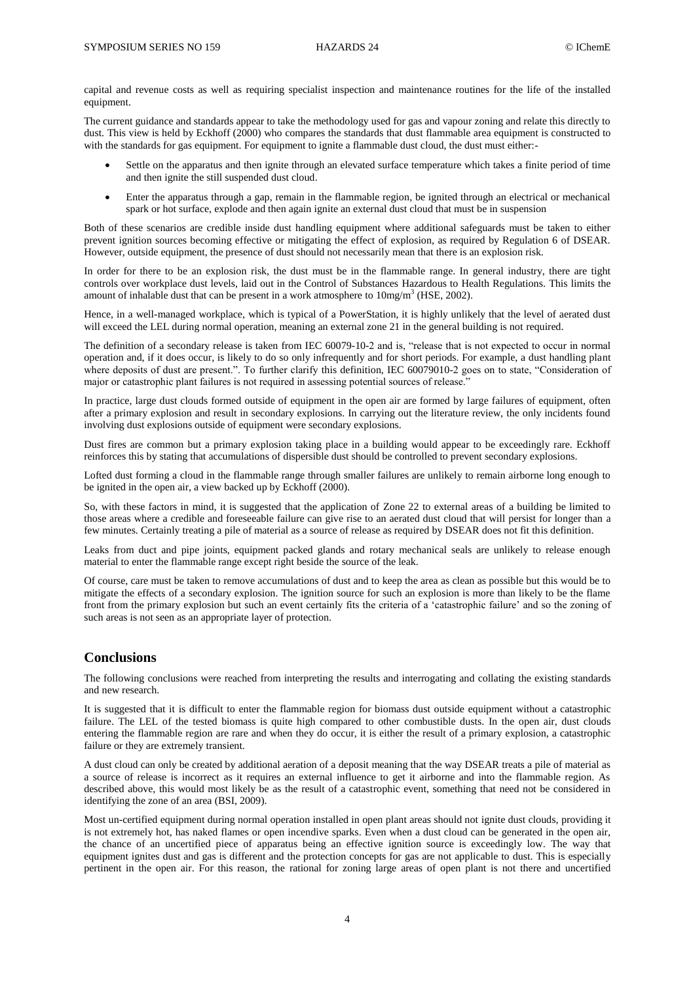capital and revenue costs as well as requiring specialist inspection and maintenance routines for the life of the installed equipment.

The current guidance and standards appear to take the methodology used for gas and vapour zoning and relate this directly to dust. This view is held by Eckhoff (2000) who compares the standards that dust flammable area equipment is constructed to with the standards for gas equipment. For equipment to ignite a flammable dust cloud, the dust must either:-

- Settle on the apparatus and then ignite through an elevated surface temperature which takes a finite period of time and then ignite the still suspended dust cloud.
- Enter the apparatus through a gap, remain in the flammable region, be ignited through an electrical or mechanical spark or hot surface, explode and then again ignite an external dust cloud that must be in suspension

Both of these scenarios are credible inside dust handling equipment where additional safeguards must be taken to either prevent ignition sources becoming effective or mitigating the effect of explosion, as required by Regulation 6 of DSEAR. However, outside equipment, the presence of dust should not necessarily mean that there is an explosion risk.

In order for there to be an explosion risk, the dust must be in the flammable range. In general industry, there are tight controls over workplace dust levels, laid out in the Control of Substances Hazardous to Health Regulations. This limits the amount of inhalable dust that can be present in a work atmosphere to  $10$ mg/m<sup>3</sup> (HSE, 2002).

Hence, in a well-managed workplace, which is typical of a PowerStation, it is highly unlikely that the level of aerated dust will exceed the LEL during normal operation, meaning an external zone 21 in the general building is not required.

The definition of a secondary release is taken from IEC 60079-10-2 and is, "release that is not expected to occur in normal operation and, if it does occur, is likely to do so only infrequently and for short periods. For example, a dust handling plant where deposits of dust are present.". To further clarify this definition, IEC 60079010-2 goes on to state, "Consideration of major or catastrophic plant failures is not required in assessing potential sources of release."

In practice, large dust clouds formed outside of equipment in the open air are formed by large failures of equipment, often after a primary explosion and result in secondary explosions. In carrying out the literature review, the only incidents found involving dust explosions outside of equipment were secondary explosions.

Dust fires are common but a primary explosion taking place in a building would appear to be exceedingly rare. Eckhoff reinforces this by stating that accumulations of dispersible dust should be controlled to prevent secondary explosions.

Lofted dust forming a cloud in the flammable range through smaller failures are unlikely to remain airborne long enough to be ignited in the open air, a view backed up by Eckhoff (2000).

So, with these factors in mind, it is suggested that the application of Zone 22 to external areas of a building be limited to those areas where a credible and foreseeable failure can give rise to an aerated dust cloud that will persist for longer than a few minutes. Certainly treating a pile of material as a source of release as required by DSEAR does not fit this definition.

Leaks from duct and pipe joints, equipment packed glands and rotary mechanical seals are unlikely to release enough material to enter the flammable range except right beside the source of the leak.

Of course, care must be taken to remove accumulations of dust and to keep the area as clean as possible but this would be to mitigate the effects of a secondary explosion. The ignition source for such an explosion is more than likely to be the flame front from the primary explosion but such an event certainly fits the criteria of a 'catastrophic failure' and so the zoning of such areas is not seen as an appropriate layer of protection.

### **Conclusions**

The following conclusions were reached from interpreting the results and interrogating and collating the existing standards and new research.

It is suggested that it is difficult to enter the flammable region for biomass dust outside equipment without a catastrophic failure. The LEL of the tested biomass is quite high compared to other combustible dusts. In the open air, dust clouds entering the flammable region are rare and when they do occur, it is either the result of a primary explosion, a catastrophic failure or they are extremely transient.

A dust cloud can only be created by additional aeration of a deposit meaning that the way DSEAR treats a pile of material as a source of release is incorrect as it requires an external influence to get it airborne and into the flammable region. As described above, this would most likely be as the result of a catastrophic event, something that need not be considered in identifying the zone of an area (BSI, 2009).

Most un-certified equipment during normal operation installed in open plant areas should not ignite dust clouds, providing it is not extremely hot, has naked flames or open incendive sparks. Even when a dust cloud can be generated in the open air, the chance of an uncertified piece of apparatus being an effective ignition source is exceedingly low. The way that equipment ignites dust and gas is different and the protection concepts for gas are not applicable to dust. This is especially pertinent in the open air. For this reason, the rational for zoning large areas of open plant is not there and uncertified